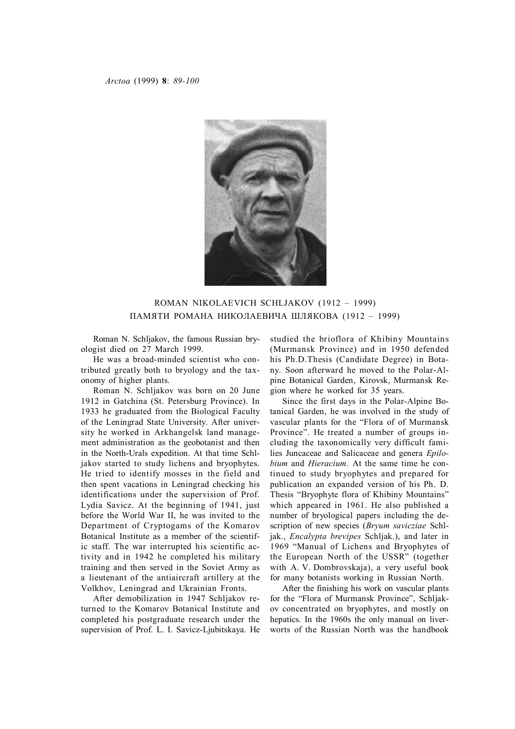

ROMAN NIKOLAEVICH SCHLJAKOV (1912 – 1999) ПАМЯТИ РОМАНА НИКОЛАЕВИЧА ШЛЯКОВА (1912 – 1999)

Roman N. Schljakov, the famous Russian bryologist died on 27 March 1999.

He was a broad-minded scientist who contributed greatly both to bryology and the taxonomy of higher plants.

Roman N. Schljakov was born on 20 June 1912 in Gatchina (St. Petersburg Province). In 1933 he graduated from the Biological Faculty of the Leningrad State University. After university he worked in Arkhangelsk land management administration as the geobotanist and then in the North-Urals expedition. At that time Schljakov started to study lichens and bryophytes. He tried to identify mosses in the field and then spent vacations in Leningrad checking his identifications under the supervision of Prof. Lydia Savicz. At the beginning of 1941, just before the World War II, he was invited to the Department of Cryptogams of the Komarov Botanical Institute as a member of the scientific staff. The war interrupted his scientific activity and in 1942 he completed his military training and then served in the Soviet Army as a lieutenant of the antiaircraft artillery at the Volkhov, Leningrad and Ukrainian Fronts.

After demobilization in 1947 Schljakov returned to the Komarov Botanical Institute and completed his postgraduate research under the supervision of Prof. L. I. Savicz-Ljubitskaya. He studied the brioflora of Khibiny Mountains (Murmansk Province) and in 1950 defended his Ph.D.Thesis (Candidate Degree) in Botany. Soon afterward he moved to the Polar-Alpine Botanical Garden, Kirovsk, Murmansk Region where he worked for 35 years.

Since the first days in the Polar-Alpine Botanical Garden, he was involved in the study of vascular plants for the "Flora of of Murmansk Province". He treated a number of groups including the taxonomically very difficult families Juncaceae and Salicaceae and genera *Epilobium* and *Hieracium*. At the same time he continued to study bryophytes and prepared for publication an expanded version of his Ph. D. Thesis "Bryophyte flora of Khibiny Mountains" which appeared in 1961. He also published a number of bryological papers including the description of new species (*Bryum savicziae* Schljak., *Encalypta brevipes* Schljak.), and later in 1969 "Manual of Lichens and Bryophytes of the European North of the USSR" (together with A. V. Dombrovskaja), a very useful book for many botanists working in Russian North.

After the finishing his work on vascular plants for the "Flora of Murmansk Province", Schljakov concentrated on bryophytes, and mostly on hepatics. In the 1960s the only manual on liverworts of the Russian North was the handbook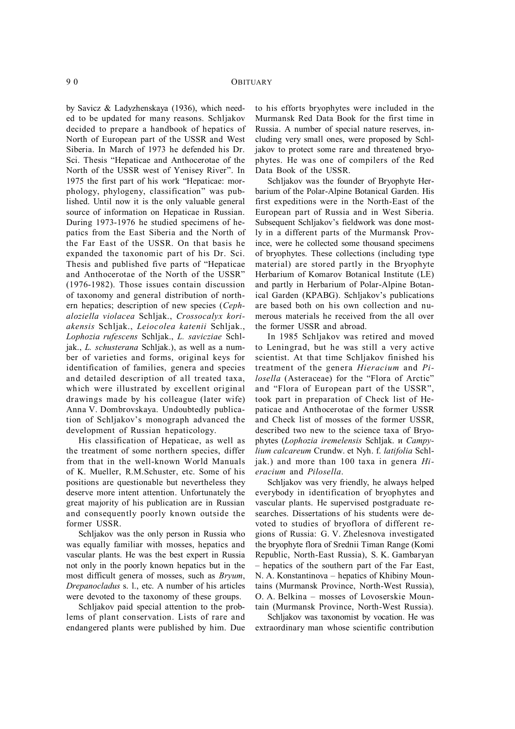by Savicz & Ladyzhenskaya (1936), which needed to be updated for many reasons. Schljakov decided to prepare a handbook of hepatics of North of European part of the USSR and West Siberia. In March of 1973 he defended his Dr. Sci. Thesis "Hepaticae and Anthocerotae of the North of the USSR west of Yenisey River". In 1975 the first part of his work "Hepaticae: morphology, phylogeny, classification" was published. Until now it is the only valuable general source of information on Hepaticae in Russian. During 1973-1976 he studied specimens of hepatics from the East Siberia and the North of the Far East of the USSR. On that basis he expanded the taxonomic part of his Dr. Sci. Thesis and published five parts of "Hepaticae and Anthocerotae of the North of the USSR" (1976-1982). Those issues contain discussion of taxonomy and general distribution of northern hepatics; description of new species (*Cephaloziella violacea* Schljak., *Crossocalyx koriakensis* Schljak., *Leiocolea katenii* Schljak., *Lophozia rufescens* Schljak., *L. savicziae* Schljak., *L. schusterana* Schljak.), as well as a number of varieties and forms, original keys for identification of families, genera and species and detailed description of all treated taxa, which were illustrated by excellent original drawings made by his colleague (later wife) Anna V. Dombrovskaya. Undoubtedly publication of Schljakov's monograph advanced the development of Russian hepaticology.

His classification of Hepaticae, as well as the treatment of some northern species, differ from that in the well-known World Manuals of K. Mueller, R.M.Schuster, etc. Some of his positions are questionable but nevertheless they deserve more intent attention. Unfortunately the great majority of his publication are in Russian and consequently poorly known outside the former USSR.

Schljakov was the only person in Russia who was equally familiar with mosses, hepatics and vascular plants. He was the best expert in Russia not only in the poorly known hepatics but in the most difficult genera of mosses, such as *Bryum*, *Drepanocladus* s. l., etc. A number of his articles were devoted to the taxonomy of these groups.

Schljakov paid special attention to the problems of plant conservation. Lists of rare and endangered plants were published by him. Due to his efforts bryophytes were included in the Murmansk Red Data Book for the first time in Russia. A number of special nature reserves, including very small ones, were proposed by Schljakov to protect some rare and threatened bryophytes. He was one of compilers of the Red Data Book of the USSR.

Schljakov was the founder of Bryophyte Herbarium of the Polar-Alpine Botanical Garden. His first expeditions were in the North-East of the European part of Russia and in West Siberia. Subsequent Schljakov's fieldwork was done mostly in a different parts of the Murmansk Province, were he collected some thousand specimens of bryophytes. These collections (including type material) are stored partly in the Bryophyte Herbarium of Komarov Botanical Institute (LE) and partly in Herbarium of Polar-Alpine Botanical Garden (KPABG). Schljakov's publications are based both on his own collection and numerous materials he received from the all over the former USSR and abroad.

In 1985 Schljakov was retired and moved to Leningrad, but he was still a very active scientist. At that time Schljakov finished his treatment of the genera *Hieracium* and *Pilosella* (Asteraceae) for the "Flora of Arctic" and "Flora of European part of the USSR", took part in preparation of Check list of Hepaticae and Anthocerotae of the former USSR and Check list of mosses of the former USSR, described two new to the science taxa of Bryophytes (*Lophozia iremelensis* Schljak. и *Campylium calcareum* Crundw. et Nyh. f. *latifolia* Schljak.) and more than 100 taxa in genera *Hieracium* and *Pilosella*.

Schljakov was very friendly, he always helped everybody in identification of bryophytes and vascular plants. He supervised postgraduate researches. Dissertations of his students were devoted to studies of bryoflora of different regions of Russia: G. V. Zhelesnova investigated the bryophyte flora of Srednii Timan Range (Komi Republic, North-East Russia), S. K. Gambaryan – hepatics of the southern part of the Far East, N. A. Konstantinova – hepatics of Khibiny Mountains (Murmansk Province, North-West Russia), O. A. Belkina – mosses of Lovoserskie Mountain (Murmansk Province, North-West Russia).

Schljakov was taxonomist by vocation. He was extraordinary man whose scientific contribution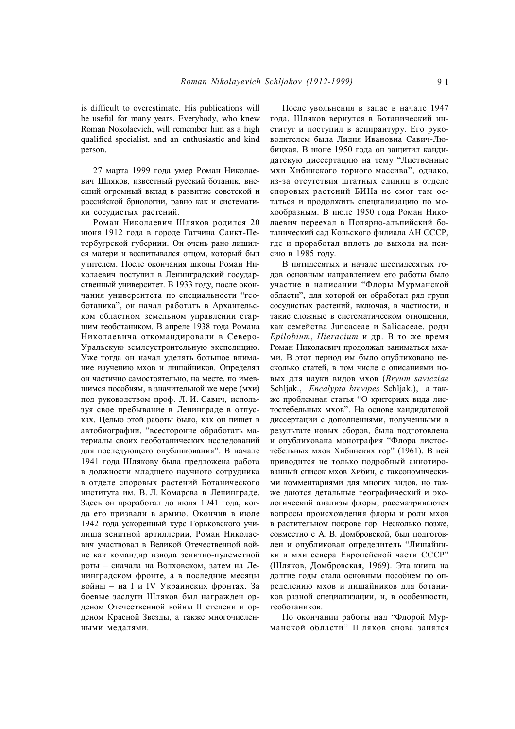is difficult to overestimate. His publications will be useful for many years. Everybody, who knew Roman Nokolaevich, will remember him as a high qualified specialist, and an enthusiastic and kind person.

27 марта 1999 года умер Роман Николаевич Шляков, известный русский ботаник, внесший огромный вклад в развитие советской и российской бриологии, равно как и систематики сосудистых растений.

Роман Николаевич Шляков родился 20 июня 1912 года в городе Гатчина Санкт-Петербугрской губернии. Он очень рано лишился матери и воспитывался отцом, который был учителем. После окончания школы Роман Николаевич поступил в Ленинградский государственный университет. В 1933 году, после окончания университета по специальности "геоботаника", он начал работать в Архангельском областном земельном управлении старшим геоботаником. В апреле 1938 года Романа Николаевича откомандировали в Северо-Уральскую землеустроительную экспедицию. Уже тогда он начал уделять большое внимание изучению мхов и лишайников. Определял он частично самостоятельно, на месте, по имевшимся пособиям, в значительной же мере (мхи) под руководством проф. Л. И. Савич, используя свое пребывание в Ленинграде в отпусках. Целью этой работы было, как он пишет в автобиографии, "всесторонне обработать материалы своих геоботанических исследований для последующего опубликования". В начале 1941 года Шлякову была предложена работа в должности младшего научного сотрудника в отделе споровых растений Ботанического института им. В. Л. Комарова в Ленинграде. Здесь он проработал до июля 1941 года, когда его призвали в армию. Окончив в июле 1942 года ускоренный курс Горьковского училища зенитной артиллерии, Роман Николаевич участвовал в Великой Отечественной войне как командир взвода зенитно-пулеметной роты – сначала на Волховском, затем на Ленинградском фронте, а в последние месяцы войны – на I и IV Украинских фронтах. За боевые заслуги Шляков был награжден орденом Отечественной войны II степени и орденом Красной Звезды, а также многочисленными медалями.

После увольнения в запас в начале 1947 года, Шляков вернулся в Ботанический институт и поступил в аспирантуру. Его руководителем была Лидия Ивановна Савич-Любицкая. В июне 1950 года он защитил кандидатскую диссертацию на тему "Лиственные мхи Хибинского горного массива", однако, из-за отсутствия штатных единиц в отделе споровых растений БИНа не смог там остаться и продолжить специализацию по мохообразным. В июле 1950 года Роман Николаевич переехал в Полярно-альпийский ботанический сад Кольского филиала АН СССР, где и проработал вплоть до выхода на пенсию в 1985 году.

В пятидесятых и начале шестидесятых годов основным направлением его работы было участие в написании "Флоры Мурманской области", для которой он обработал ряд групп сосудистых растений, включая, в частности, и такие сложные в систематическом отношении, как семейства Juncaceae и Salicaceae, роды *Epilobium*, *Hieracium* и др. В то же время Роман Николаевич продолжал заниматься мхами. В этот период им было опубликовано несколько статей, в том числе с описаниями новых для науки видов мхов (*Bryum savicziae* Schljak., *Encalypta brevipes* Schljak.), а также проблемная статья "О критериях вида листостебельных мхов". На основе кандидатской диссертации с дополнениями, полученными в результате новых сборов, была подготовлена и опубликована монография "Флора листостебельных мхов Хибинских гор" (1961). В ней приводится не только подробный аннотированный список мхов Хибин, с таксономическими комментариями для многих видов, но также даются детальные географический и экологический анализы флоры, рассматриваются вопросы происхождения флоры и роли мхов в растительном покрове гор. Несколько позже, совместно с А. В. Домбровской, был подготовлен и опубликован определитель "Лишайники и мхи севера Европейской части СССР" (Шляков, Домбровская, 1969). Эта книга на долгие годы стала основным пособием по определению мхов и лишайников для ботаников разной специализации, и, в особенности, геоботаников.

По окончании работы над "Флорой Мурманской области" Шляков снова занялся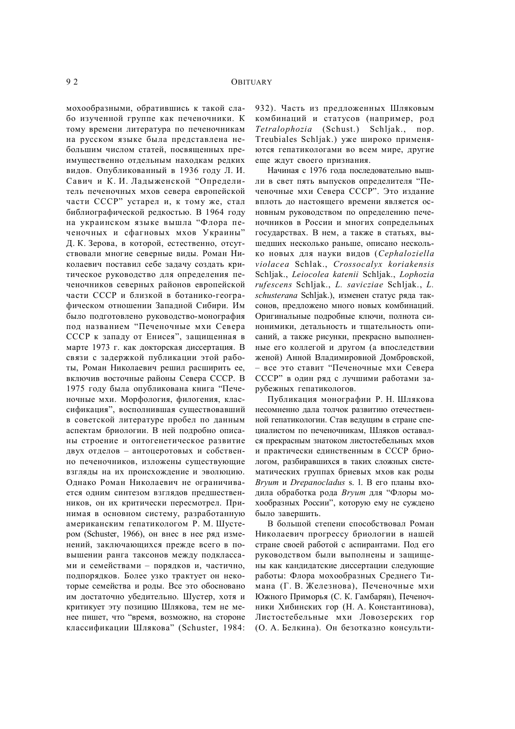мохообразными, обратившись к такой слабо изученной группе как печеночники. К тому времени литература по печеночникам на русском языке была представлена небольшим числом статей, посвященных преимущественно отдельным находкам редких видов. Опубликованный в 1936 году Л. И. Савич и К. И. Ладыженской "Определитель печеночных мхов севера европейской части СССР" устарел и, к тому же, стал библиографической редкостью. В 1964 году на украинском языке вышла "Флора печеночных и сфагновых мхов Украины" Д. К. Зерова, в которой, естественно, отсутствовали многие северные виды. Роман Николаевич поставил себе задачу создать критическое руководство для определения печеночников северных районов европейской части СССР и близкой в ботанико-географическом отношении Западной Сибири. Им было подготовлено руководство-монография под названием "Печеночные мхи Севера СССР к западу от Енисея", защищенная в марте 1973 г. как докторская диссертация. В связи с задержкой публикации этой работы, Роман Николаевич решил расширить ее, включив восточные районы Севера СССР. В 1975 году была опубликована книга "Печеночные мхи. Морфология, филогения, классификация", восполнившая существовавший в советской литературе пробел по данным аспектам бриологии. В ней подробно описаны строение и онтогенетическое развитие двух отделов – антоцеротовых и собственно печеночников, изложены существующие взгляды на их происхождение и эволюцию. Однако Роман Николаевич не ограничивается одним синтезом взглядов предшественников, он их критически пересмотрел. Принимая в основном систему, разработанную американским гепатикологом Р. М. Шустером (Schuster, 1966), он внес в нее ряд изменений, заключающихся прежде всего в повышении ранга таксонов между подклассами и семействами – порядков и, частично, подпорядков. Более узко трактует он некоторые семейства и роды. Все это обосновано им достаточно убедительно. Шустер, хотя и критикует эту позицию Шлякова, тем не менее пишет, что "время, возможно, на стороне классификации Шлякова" (Schuster, 1984: 932). Часть из предложенных Шляковым комбинаций и статусов (например, род *Tetralophozia* (Schust.) Schljak., пор. Treubiales Schljak.) уже широко применяются гепатикологами во всем мире, другие еще ждут своего признания.

Начиная с 1976 года последовательно вышли в свет пять выпусков определителя "Печеночные мхи Севера СССР". Это издание вплоть до настоящего времени является основным руководством по определению печеночников в России и многих сопредельных государствах. В нем, а также в статьях, вышедших несколько раньше, описано несколько новых для науки видов (*Cephaloziella violacea* Schlak., *Crossocalyx koriakensis* Schljak., *Leiocolea katenii* Schljak., *Lophozia rufescens* Schljak., *L. savicziae* Schljak., *L. schusterana* Schljak.), изменен статус ряда таксонов, предложено много новых комбинаций. Оригинальные подробные ключи, полнота синонимики, детальность и тщательность описаний, а также рисунки, прекрасно выполненные его коллегой и другом (а впоследствии женой) Анной Владимировной Домбровской, – все это ставит "Печеночные мхи Севера СССР" в один ряд с лучшими работами зарубежных гепатикологов.

Публикация монографии Р. Н. Шлякова несомненно дала толчок развитию отечественной гепатикологии. Став ведущим в стране специалистом по печеночникам, Шляков оставался прекрасным знатоком листостебельных мхов и практически единственным в СССР бриологом, разбиравшихся в таких сложных систематических группах бриевых мхов как роды *Bryum* и *Drepanocladus* s. l. В его планы входила обработка рода *Bryum* для "Флоры мохообразных России", которую ему не суждено было завершить.

В большой степени способствовал Роман Николаевич прогрессу бриологии в нашей стране своей работой с аспирантами. Под его руководством были выполнены и защищены как кандидатские диссертации следующие работы: Флора мохообразных Среднего Тимана (Г. В. Железнова), Печеночные мхи Южного Приморья (С. К. Гамбарян), Печеночники Хибинских гор (Н. А. Константинова), Листостебельные мхи Ловозерских гор (О. А. Белкина). Он безотказно консульти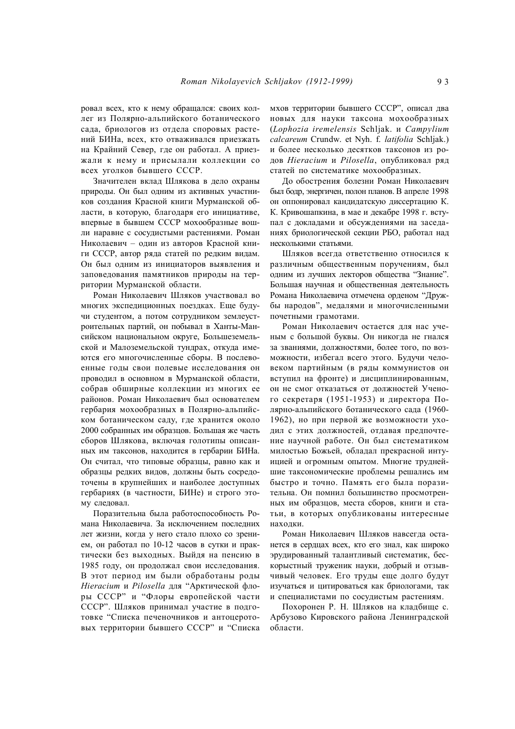ровал всех, кто к нему обращался: своих коллег из Полярно-альпийского ботанического сада, бриологов из отдела споровых растений БИНа, всех, кто отваживался приезжать на Крайний Север, где он работал. А приезжали к нему и присылали коллекции со всех уголков бывшего СССР.

Значителен вклад Шлякова в дело охраны природы. Он был одним из активных участников создания Красной книги Мурманской области, в которую, благодаря его инициативе, впервые в бывшем СССР мохообразные вошли наравне с сосудистыми растениями. Роман Николаевич – один из авторов Красной книги СССР, автор ряда статей по редким видам. Он был одним из инициаторов выявления и заповедования памятников природы на территории Мурманской области.

Роман Николаевич Шляков участвовал во многих экспедиционных поездках. Еще будучи студентом, а потом сотрудником землеустроительных партий, он побывал в Ханты-Мансийском национальном округе, Большеземельской и Малоземельской тундрах, откуда имеются его многочисленные сборы. В послевоенные годы свои полевые исследования он проводил в основном в Мурманской области, собрав обширные коллекции из многих ее районов. Роман Николаевич был основателем гербария мохообразных в Полярно-альпийском ботаническом саду, где хранится около 2000 собранных им образцов. Большая же часть сборов Шлякова, включая голотипы описанных им таксонов, находится в гербарии БИНа. Он считал, что типовые образцы, равно как и образцы редких видов, должны быть сосредоточены в крупнейших и наиболее доступных гербариях (в частности, БИНе) и строго этому следовал.

Поразительна была работоспособность Романа Николаевича. За исключением последних лет жизни, когда у него стало плохо со зрением, он работал по 10-12 часов в сутки и практически без выходных. Выйдя на пенсию в 1985 году, он продолжал свои исследования. В этот период им были обработаны роды *Hieracium* и *Pilosella* для "Арктической флоры СССР" и "Флоры европейской части СССР". Шляков принимал участие в подготовке "Списка печеночников и антоцеротовых территории бывшего СССР" и "Списка мхов территории бывшего СССР", описал два новых для науки таксона мохообразных (*Lophozia iremelensis* Schljak. и *Campylium calcareum* Crundw. et Nyh. f. *latifolia* Schljak.) и более несколько десятков таксонов из родов *Hieracium* и *Pilosella*, опубликовал ряд статей по систематике мохообразных.

До обострения болезни Роман Николаевич был бодр, энергичен, полон планов. В апреле 1998 он оппонировал кандидатскую диссертацию К. К. Кривошапкина, в мае и декабре 1998 г. вступал с докладами и обсуждениями на заседаниях бриологической секции РБО, работал над несколькими статьями.

Шляков всегда ответственно относился к различным общественным поручениям, был одним из лучших лекторов общества "Знание". Большая научная и общественная деятельность Романа Николаевича отмечена орденом "Дружбы народов", медалями и многочисленными почетными грамотами.

Роман Николаевич остается для нас ученым с большой буквы. Он никогда не гнался за званиями, должностями, более того, по возможности, избегал всего этого. Будучи человеком партийным (в ряды коммунистов он вступил на фронте) и дисциплинированным, он не смог отказаться от должностей Ученого секретаря (1951-1953) и директора Полярно-альпийского ботанического сада (1960- 1962), но при первой же возможности уходил с этих должностей, отдавая предпочтение научной работе. Он был систематиком милостью Божьей, обладал прекрасной интуицией и огромным опытом. Многие труднейшие таксономические проблемы решались им быстро и точно. Память его была поразительна. Он помнил большинство просмотренных им образцов, места сборов, книги и статьи, в которых опубликованы интересные находки.

Роман Николаевич Шляков навсегда останется в сердцах всех, кто его знал, как широко эрудированный талантливый систематик, бескорыстный труженик науки, добрый и отзывчивый человек. Его труды еще долго будут изучаться и цитироваться как бриологами, так и специалистами по сосудистым растениям.

Похоронен Р. Н. Шляков на кладбище с. Арбузово Кировского района Ленинградской области.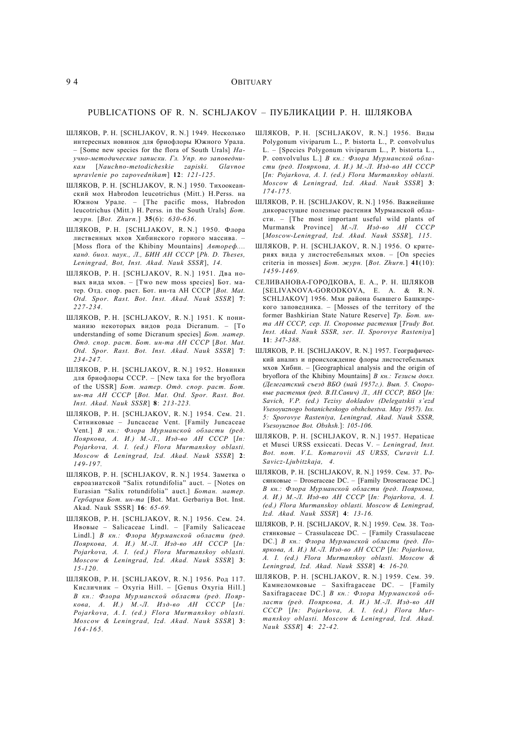## 9 4 OBITUARY

## PUBLICATIONS OF R. N. SCHLJAKOV – ПУБЛИКАЦИИ Р. Н. ШЛЯКОВА

- ШЛЯКОВ, Р. Н. [SCHLJAKOV, R. N.] 1949. Несколько интересных новинок для бриофлоры Южного Урала. – [Some new species for the flora of South Urals] *Научно-методические записки. Гл. Упр. по заповедникам* [*Nauchno-metodicheskie zapiski. Glavnoe upravlenie po zapovednikam*] **12**: *121-125*.
- ШЛЯКОВ, Р. Н. [SCHLJAKOV, R. N.] 1950. Тихоокеанский мох Habrodon leucotrichus (Mitt.) H.Perss. на Южном Урале. – [The pacific moss, Habrodon leucotrichus (Mitt.) H. Perss. in the South Urals] *Бот. журн.* [*Bot. Zhurn.*] **35**(6): *630-636*.
- ШЛЯКОВ, Р. Н. [SCHLJAKOV, R. N.] 1950. Флора лиственных мхов Хибинского горного массива. – [Moss flora of the Khibiny Mountains] *Автореф.... канд. биол. наук., Л., БИН АН СССР* [*Ph. D. Theses, Leningrad, Bot, Inst. Akad. Nauk SSSR*], *14.*
- ШЛЯКОВ, Р. Н. [SCHLJAKOV, R. N.] 1951. Два новых вида мхов. – [Two new moss species] Бот. матер. Отд. спор. раст. Бот. ин-та АН СССР [*Bot. Mat. Otd. Spor. Rast. Bot. Inst. Akad. Nauk SSSR*] **7**: *227-234.*
- ШЛЯКОВ, Р. Н. [SCHLJAKOV, R. N.] 1951. К пониманию некоторых видов рода Dicranum. – [To understanding of some Dicranum species] *Бот. матер. Отд. спор. раст. Бот. ин-та АН СССР* [*Bot. Mat. Otd. Spor. Rast. Bot. Inst. Akad. Nauk SSSR*] **7**: *234-247.*
- ШЛЯКОВ, Р. Н. [SCHLJAKOV, R. N.] 1952. Новинки для бриофлоры СССР. – [New taxa for the bryoflora of the USSR] *Бот. матер. Отд. спор. раст. Бот. ин-та АН СССР* [*Bot. Mat. Otd. Spor. Rast. Bot. Inst. Akad. Nauk SSSR*] **8**: *213-223.*
- ШЛЯКОВ, Р. Н. [SCHLJAKOV, R. N.] 1954. Сем. 21. Ситниковые – Junсaceae Vent. [Family Juncaceae Vent.] *В кн.: Флора Мурманской области (ред. Пояркова, А. И.) М.-Л., Изд-во АН СССР* [*In: Pojarkova, A. I. (ed.) Flora Murmanskoy oblasti. Moscow & Leningrad, Izd. Akad. Nauk SSSR*] **2**: *149-197.*
- ШЛЯКОВ, Р. Н. [SCHLJAKOV, R. N.] 1954. Заметка о евроазиатской "Salix rotundifolia" auct. – [Notes on Eurasian "Salix rotundifolia" auct.] *Ботан. матер. Гербария Бот. ин-та* [Bot. Mat. Gerbariya Bot. Inst. Akad. Nauk SSSR] **16**: *65-69.*
- ШЛЯКОВ, Р. Н. [SCHLJAKOV, R. N.] 1956. Сем. 24. Ивовые – Salicaceae Lindl. – [Family Salicaceae Lindl.] *В кн.: Флора Мурманской области (ред. Пояркова, А. И.) М.-Л. Изд-во АН СССР* [*In: Pojarkova, A. I. (ed.) Flora Murmanskoy oblasti. Moscow & Leningrad, Izd. Akad. Nauk SSSR*] **3**: *15-120.*
- ШЛЯКОВ, Р. Н. [SCHLJAKOV, R. N.] 1956. Род 117. Кисличник – Oxyria Hill. – [Genus Oxyria Hill.] *В кн.: Флора Мурманской области (ред. Пояркова, А. И.) М.-Л. Изд-во АН СССР* [*In: Pojarkova, A. I. (ed.) Flora Murmanskoy oblasti. Moscow & Leningrad, Izd. Akad. Nauk SSSR*] **3**: *16 4-16 5.*
- ШЛЯКОВ, Р. Н. [SCHLJAKOV, R. N.] 1956. Виды Polygonum viviparum L., P. bistorta L., P. convolvulus L. – [Species Polygonum viviparum L., P. bistorta L., P. convolvulus L.] *В кн.: Флора Мурманской области (ред. Пояркова, А. И.) М.-Л. Изд-во АН СССР* [*In: Pojarkova, A. I. (ed.) Flora Murmanskoy oblasti. Moscow & Leningrad, Izd. Akad. Nauk SSSR*] **3**: *174-175.*
- ШЛЯКОВ, Р. Н. [SCHLJAKOV, R. N.] 1956. Важнейшие дикорастущие полезные растения Мурманской области. – [The most important useful wild plants of Murmansk Province] *М.-Л. Изд-во АН СССР* [*Moscow-Leningrad, Izd. Akad. Nauk SSSR*]*, 115*.
- ШЛЯКОВ, Р. Н. [SCHLJAKOV, R. N.] 1956. О критериях вида у листостебельных мхов. – [On species criteria in mosses] *Бот. журн.* [*Bot. Zhurn.*] **41**(10): *1459-1469.*
- СЕЛИВАНОВА-ГОРОДКОВА, Е. А., Р. Н. ШЛЯКОВ [SELIVANOVA-GORODKOVA, E. A. & R. N. SCHLJAKOV] 1956. Мхи района бывшего Башкирского заповедника. – [Mosses of the territory of the former Bashkirian State Nature Reserve] *Тр. Бот. инта АН СССР, сер. II. Споровые растения* [*Trudy Bot. Inst. Akad. Nauk SSSR, ser. II. Sporovye Rasteniya*] **11**: *347-388*.
- ШЛЯКОВ, Р. Н. [SCHLJAKOV, R. N.] 1957. Географический анализ и происхождение флоры листостебельных мхов Хибин. – [Geographical analysis and the origin of bryoflora of the Khibiny Mountains] *В кн.: Тезисы докл. (Делегатский съезд ВБО (май 1957г.). Вып. 5. Споровые растения (ред. В.П.Савич) Л., АН СССР, ВБО* [*In: Savich, V.P. (ed.) Tezisy dokladov (Delegatskii s'ezd Vsesoyuznogo botanicheskogo obshchestva. May 1957). Iss. 5: Sporovye Rasteniya, Leningrad, Akad. Nauk SSSR, Vsesoyuznoe Bot. Obshsh.*]: *105-106.*
- ШЛЯКОВ, Р. Н. [SCHLJAKOV, R. N.] 1957. Hepaticae et Musci URSS exsiccati. Decas V. – *Leningrad, Inst. Bot. nom. V.L. Komarovii AS URSS, Curavit L.I. Savicz-Ljubitzkaja, 4.*
- ШЛЯКОВ, Р. Н. [SCHLJAKOV, R. N.] 1959. Сем. 37. Росянковые – Droseraceae DC. – [Family Droseraceae DC.] *В кн.: Флора Мурманской области (ред. Пояркова, А. И.) М.-Л. Изд-во АН СССР* [*In: Pojarkova, A. I. (ed.) Flora Murmanskoy oblasti. Moscow & Leningrad, Izd. Akad. Nauk SSSR*] **4**: *13-16.*
- ШЛЯКОВ, Р. Н. [SCHLJAKOV, R. N.] 1959. Сем. 38. Толстянковые – Crassulaceae DC. – [Family Crassulaceae DC.] *В кн.: Флора Мурманской области (ред. Пояркова, А. И.) М.-Л. Изд-во АН СССР* [*In: Pojarkova, A. I. (ed.) Flora Murmanskoy oblasti. Moscow & Leningrad, Izd. Akad. Nauk SSSR*] **4**: *16-20.*
- ШЛЯКОВ, Р. Н. [SCHLJAKOV, R. N.] 1959. Сем. 39. Камнеломковые – Saxifragaceae DC. – [Family Saxifragaceae DC.] *В кн.: Флора Мурманской области (ред. Пояркова, А. И.) М.-Л. Изд-во АН СССР* [*In: Pojarkova, A. I. (ed.) Flora Murmanskoy oblasti. Moscow & Leningrad, Izd. Akad. Nauk SSSR*] **4**: *22-42.*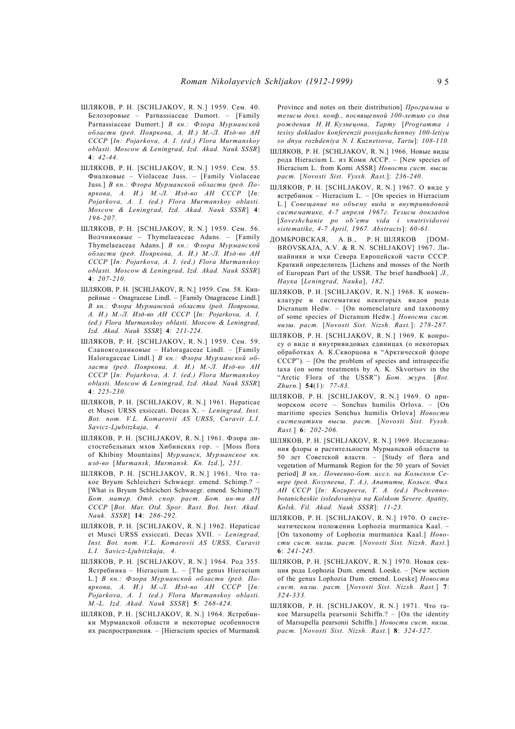- ШЛЯКОВ, Р. Н. [SCHLJAKOV, R. N.] 1959. Сем. 40. Белозоровые – Parnassiaceae Dumort. – [Family Parnassiaceae Dumort.] *В кн.: Флора Мурманской области (ред. Пояркова, А. И.) М.-Л. Изд-во АН СССР* [*In: Pojarkova, A. I. (ed.) Flora Murmanskoy oblasti. Moscow & Leningrad, Izd. Akad. Nauk SSSR*] **4**: *42-44.*
- ШЛЯКОВ, Р. Н. [SCHLJAKOV, R. N.] 1959. Сем. 55. Фиалковые – Violaceae Juss. – [Family Violaceae Juss.] *В кн.: Флора Мурманской области (ред. Пояркова, А. И.) М.-Л. Изд-во АН СССР* [*In: Pojarkova, A. I. (ed.) Flora Murmanskoy oblasti. Moscow & Leningrad, Izd. Akad. Nauk SSSR*] **4**: *196-207.*
- ШЛЯКОВ, Р. Н. [SCHLJAKOV, R. N.] 1959. Сем. 56. Волчниковые – Thymelaeaceae Adans. – [Family Thymelaeaceae Adans.] *В кн.: Флора Мурманской области (ред. Пояркова, А. И.) М.-Л. Изд-во АН СССР* [*In: Pojarkova, A. I. (ed.) Flora Murmanskoy oblasti. Moscow & Leningrad, Izd. Akad. Nauk SSSR*] **4**: *207-210.*
- ШЛЯКОВ, Р. Н. [SCHLJAKOV, R. N.] 1959. Сем. 58. Кипрейные – Onagraceae Lindl. – [Family Onagraceae Lindl.] *В кн.: Флора Мурманской области (ред. Пояркова, А. И.) М.-Л. Изд-во АН СССР* [*In: Pojarkova, A. I. (ed.) Flora Murmanskoy oblasti. Moscow & Leningrad, Izd. Akad. Nauk SSSR*] **4**: *211-224.*
- ШЛЯКОВ, Р. Н. [SCHLJAKOV, R. N.] 1959. Сем. 59. Сланоягодниковые – Haloragaceae Lindl. – [Family Haloragaceae Lindl.] *В кн.: Флора Мурманской области (ред. Пояркова, А. И.) М.-Л. Изд-во АН СССР* [*In: Pojarkova, A. I. (ed.) Flora Murmanskoy oblasti. Moscow & Leningrad, Izd. Akad. Nauk SSSR*] **4**: *225-230.*
- ШЛЯКОВ, Р. Н. [SCHLJAKOV, R. N.] 1961. Hepaticae et Musci URSS exsiccati. Decas X. – *Leningrad, Inst. Bot. nom. V.L. Komarovii AS URSS, Curavit L.I. Savicz-Ljubitzkaja, 4.*
- ШЛЯКОВ, Р. Н. [SCHLJAKOV, R. N.] 1961. Флора листостебельных мхов Хибинских гор. – [Moss flora of Khibiny Mountains] *Мурманск, Мурманское кн. изд-во* [*Murmansk, Murmansk. Kn. Izd.*], *251.*
- ШЛЯКОВ, Р. Н. [SCHLJAKOV, R. N.] 1961. Что такое Bryum Schleicheri Schwaegr. emend. Schimp.? – [What is Bryum Schleicheri Schwaegr. emend. Schimp.?] *Бот. матер. Отд. спор. раст. Бот. ин-та АН СССР* [*Bot. Mat. Otd. Spor. Rast. Bot. Inst. Akad. Nauk. SSSR*] **14**: *286-292.*
- ШЛЯКОВ, Р. Н. [SCHLJAKOV, R. N.] 1962. Hepaticae et Musci URSS exsiccati. Decas XVII. – *Leningrad, Inst. Bot. nom. V.L. Komarovii AS URSS, Curavit L.I. Savicz-Ljubitzkaja, 4.*
- ШЛЯКОВ, Р. Н. [SCHLJAKOV, R. N.] 1964. Род 355. Ястребинка – Hieracium L. – [The genus Hieracium L.] *В кн.: Флора Мурманской области (ред. Пояркова, А. И.) М.-Л. Изд-во АН СССР* [*In: Pojarkova, A. I. (ed.) Flora Murmanskoy oblasti. M.-L. Izd. Akad. Nauk SSSR*] **5**: *268-424.*
- ШЛЯКОВ, Р. Н. [SCHLJAKOV, R. N.] 1964. Ястребинки Мурманской области и некоторые особенности их распространения. – [Hieracium species of Murmansk

Province and notes on their distribution] *Программа и тезисы докл. конф., посвященной 100-летию со дня рождения Н. И. Кузнецова, Тарту* [*Programma i tesisy dokladov konferenzii posvjashсhennoy 100-letiyu so dnya rozhdeniya N. I. Kuznetsova, Tartu*]: *108-110.*

- ШЛЯКОВ, Р. Н. [SCHLJAKOV, R. N.] 1966. Новые виды рода Hieracium L. из Коми АССР. – [New species of Hieracium L. from Komi ASSR] *Новости сист. высш. раст.* [*Novosti Sist. Vyssh. Rast.*]: *236-240*.
- ШЛЯКОВ, Р. Н. [SCHLJAKOV, R. N.] 1967. О виде у ястребинок – Hieracium L. – [On species in Hieracium L.] *Совещание по объему вида и внутривидовой систематике, 4-7 апреля 1967г. Тезисы докладов* [*Soveshсhanie po ob'emu vida i vnutrividovoi sistematike, 4-7 April, 1967. Abstracts*]: *60-61.*
- ДОМБРОВСКАЯ, А. В., Р. Н. ШЛЯКОВ [DOM-BROVSKAJA, A.V. & R. N. SCHLJAKOV] 1967. Лишайники и мхи Cевера Европейской части СССР. Краткий определитель [Lichens and mosses of the North of European Part of the USSR. The brief handbook] *Л., Наука* [*Leningrad, Nauka*], *182.*
- ШЛЯКОВ, Р. Н. [SCHLJAKOV, R. N.] 1968. К номенклатуре и систематике некоторых видов рода Dicranum Hedw. – [On nomenclature and taxonomy of some species of Dicranum Hedw.] *Новости сист. низш. раст.* [*Novosti Sist. Nizsh. Rast.*]: *278-287.*
- ШЛЯКОВ, Р. Н. [SCHLJAKOV, R. N.] 1969. К вопросу о виде и внутривидовых единицах (о некоторых обработках А. К.Скворцова в "Арктической флоре  $CCCP$ "). – [On the problem of species and intraspecific taxa (on some treatments by A. K. Skvortsov in the "Arctic Flora of the USSR") *Бот. журн.* [*Bot. Zhurn.*] **54**(1): *77-83.*
- ШЛЯКОВ, Р. Н. [SCHLJAKOV, R. N.] 1969. О приморском осоте – Sonchus humilis Orlova. – [On maritime species Sonchus humilis Orlova] *Новости систематики высш. раст.* [*Novosti Sist. Vyssh. Rast.*] **6**: *202-206.*
- ШЛЯКОВ, Р. Н. [SCHLJAKOV, R. N.] 1969. Исследования флоры и растительности Мурманской области за 50 лет Советской власти. – [Study of flora and vegetation of Murmansk Region for the 50 years of Soviet period] *В кн.: Почвенно-бот. иссл. на Кольском Севере (ред. Козупеева, Т. А.), Апатиты, Кольск. Фил. АН СССР* [*In: Kozupeeva, T. A. (ed.) Pochvennobotanicheskie issledovaniya na Kolskom Severe. Apatity, Kolsk. Fil. Akad. Nauk SSSR*]: *11-23.*
- ШЛЯКОВ, Р. Н. [SCHLJAKOV, R. N.] 1970. О систематическом положении Lophozia murmanica Kaal. – [On taxonomy of Lophozia murmanica Kaal.] *Новости сист. низш. раст.* [*Novosti Sist. Nizsh. Rast.*] **6**: *241-245.*
- ШЛЯКОВ, Р. Н. [SCHLJAKOV, R. N.] 1970. Новая секция рода Lophozia Dum. emend. Loeske. – [New section of the genus Lophozia Dum. emend. Loeske] *Новости сист. низш. раст.* [*Novosti Sist. Nizsh. Rast.*] **7**: *324-333.*
- ШЛЯКОВ, Р. Н. [SCHLJAKOV, R. N.] 1971. Что такое Marsupella pearsonii Schiffn.? – [On the identity of Marsupella pearsonii Schiffn.] *Новости сист. низш. раст.* [*Novosti Sist. Nizsh. Rast.*] **8**: *324-327.*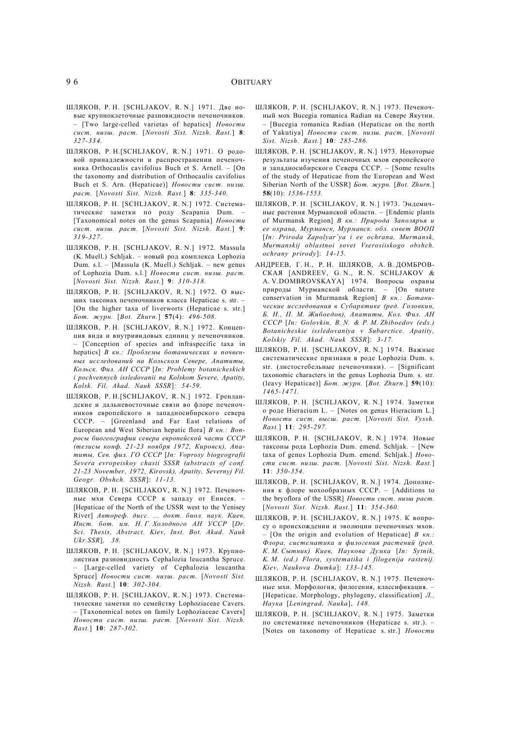- ШЛЯКОВ, Р. Н. [SCHLJAKOV, R. N.] 1971. Две новые крупноклеточные разновидности печеночников. – [Two large-celled varietas of hepatics] *Новости сист. низш. раст.* [*Novosti Sist. Nizsh. Rast.*] **8**: *327-334.*
- ШЛЯКОВ, Р. Н.[SCHLJAKOV, R. N.] 1971. О родовой принадлежности и распространении печеночника Orthocaulis cavifolius Buch et S. Arnell. – [On the taxonomy and distribution of Orthocaulis cavifolius Buch et S. Arn. (Hepaticae)] *Новости сист. низш. раст.* [*Novosti Sist. Nizsh. Rast.*] **8**: *335-340.*
- ШЛЯКОВ, Р. Н. [SCHLJAKOV, R. N.] 1972. Систематические заметки по роду Scapania Dum. – [Taxonomical notes on the genus Scapania] *Новости сист. низш. раст.* [*Novosti Sist. Nizsh. Rast.*] **9**: *319-327.*
- ШЛЯКОВ, Р. Н. [SCHLJAKOV, R. N.] 1972. Massula (K. Muell.) Schljak. – новый род комплекса Lophozia Dum. s.l. – [Massula (K. Muell.) Schljak. – new genus of Lophozia Dum. s.l.] *Новости сист. низш. раст.* [*Novosti Sist. Nizsh. Rast.*] **9**: *310-318.*
- ШЛЯКОВ, Р. Н. [SCHLJAKOV, R. N.] 1972. О высших таксонах печеночников класса Hepaticae s. str. – [On the higher taxa of liverworts (Hepaticae s. str.] *Бот. журн.* [*Bot. Zhurn.*] **57**(4): *496-508.*
- ШЛЯКОВ, Р. Н. [SCHLJAKOV, R. N.] 1972. Концепция вида и внутривидовых единиц у печеночников. – [Conception of species and infraspecific taxa in hepatics] *В кн.: Проблемы ботанических и почвенных исследований на Кольском Севере, Апатиты, Кольск. Фил. АН СССР* [*In: Problemy botanicheskich i pochvennych issledovanii na Kolskom Severe, Apatity, Kolsk. Fil. Akad. Nauk SSSR*]*: 54-59.*
- ШЛЯКОВ, Р. Н.[SCHLJAKOV, R. N.] 1972. Гренландские и дальневосточные связи во флоре печеночников европейского и западносибирского севера СССР. – [Greenland and Far East relations of European and West Siberian hepatic flora] *В кн.: Вопросы биогеографии севера европейской части СССР (тезисы конф. 21-23 ноября 1972, Кировск), Апатиты, Сев. фил. ГО СССР* [*In: Voprosy biogeografii Severa evropeiskoy chasti SSSR (abstracts of conf. 21-23 November, 1972, Kirovsk), Apatity, Severnyj Fil. Geogr. Obshch. SSSR*]: *11-13.*
- ШЛЯКОВ, Р. Н. [SCHLJAKOV, R. N.] 1972. Печеночные мхи Севера СССР к западу от Енисея. – [Hepaticae of the North of the USSR west to the Yenisey River] *Автореф. дисс. ... докт. биол. наук. Киев, Инст. бот. им. Н. Г. Холодного АН УССР* [*Dr. Sci. Thesis, Abstract. Kiev, Inst. Bot. Akad. Nauk Ukr.SSR*]*, 38.*
- ШЛЯКОВ, Р. Н. [SCHLJAKOV, R. N.] 1973. Крупнолистная разновидность Cephalozia leucantha Spruce. [Large-celled variety of Cephalozia leucantha Spruce] *Новости сист. низш. раст.* [*Novosti Sist. Nizsh. Rast.*] **10**: *302-304.*
- ШЛЯКОВ, Р. Н. [SCHLJAKOV, R. N.] 1973. Систематические заметки по семейству Lophoziaceae Cavers. – [Taxonomical notes on family Lophoziaceae Cavers] *Новости сист. низш. раст.* [*Novosti Sist. Nizsh. Rast.*] **10**: *287-302.*
- ШЛЯКОВ, Р. Н. [SCHLJAKOV, R. N.] 1973. Печеночный мох Bucegia romanica Radian на Севере Якутии. – [Bucegia romanica Radian (Hepaticae on the north of Yakutiya] *Новости сист. низш. раст.* [*Novosti Sist. Nizsh. Rast.*] **10**: *285-286.*
- ШЛЯКОВ, Р. Н. [SCHLJAKOV, R. N.] 1973. Некоторые результаты изучения печеночных мхов европейского и западносибирского Севера СССР. – [Some results of the study of Hepaticae from the European and West Siberian North of the USSR] *Бот. журн.* [*Bot. Zhurn.*] **58**(10): *1536-1553.*
- ШЛЯКОВ, Р. Н. [SCHLJAKOV, R. N.] 1973. Эндемичные растения Мурманской области. – [Endemic plants of Murmansk Region] *В кн.: Природа Заполярья и ее охрана, Мурманск, Мурманск. обл. совет ВООП* [*In: Priroda Zapolyar'ya i ee ochrana, Murmansk, Murmanskij oblastnoi sovet Vserosiiskogo obshсh. ochrany prirody*]: *14-15.*
- АНДРЕЕВ, Г. Н., Р. Н. ШЛЯКОВ, А. В. ДОМБРОВ-СКАЯ [ANDREEV, G. N., R. N. SCHLJAKOV & A. V.DOMBROVSKAYA] 1974. Вопросы охраны природы Мурманской области. – [On nature conservation in Murmansk Region] *В кн.: Ботанические исследования в Субарктике (ред. Головкин, Б. Н., П. М. Жибоедов), Апатиты, Кол. Фил. АН СССР* [*In: Golovkin, B. N. & P. M. Zhiboedov (eds.) Botanicheskie issledovaniya v Subarctice. Apatity, Kolskiy Fil. Akad. Nauk SSSR*]: *3-17.*
- ШЛЯКОВ, Р. Н. [SCHLJAKOV, R. N.] 1974. Важные систематические признаки в роде Lophozia Dum. s. str. (листостебельные печеночники). – [Significant taxonomic characters in the genus Lophozia Dum. s. str. (leavy Hepaticae)] *Бот. журн.* [*Bot. Zhurn.*] **59**(10): *1465-1471.*
- ШЛЯКОВ, Р. Н. [SCHLJAKOV, R. N.] 1974. Заметки о роде Hieracium L. – [Notes on genus Hieracium L.] *Новости сист. высш. раст.* [*Novosti Sist. Vyssh. Rast.*] **11**: *295-297.*
- ШЛЯКОВ, Р. Н. [SCHLJAKOV, R. N.] 1974. Новые таксоны рода Lophozia Dum. emend. Schljak. – [New taxa of genus Lophozia Dum. emend. Schljak.] *Новости сист. низш. раст.* [*Novosti Sist. Nizsh. Rast.*] **11**: *350-354.*
- ШЛЯКОВ, Р. Н. [SCHLJAKOV, R. N.] 1974. Дополнения к флоре мохообразных СССР. – [Additions to the bryoflora of the USSR] *Новости сист. низш раст.* [*Novosti Sist. Nizsh. Rast.*] **11**: *354-360.*
- ШЛЯКОВ, Р. Н. [SCHLJAKOV, R. N.] 1975. К вопросу о происхождении и эволюции печеночных мхов. – [On the origin and evolution of Hepaticae] *В кн.: Флора, систематика и филогения растений (ред. К. М. Сытник) Киев, Наукова Думка* [*In: Sytnik, K. M. (ed.) Flora, systematika i filogenija rastenij. Kiev, Naukova Dumka*]: *133-145.*
- ШЛЯКОВ, Р. Н. [SCHLJAKOV, R. N.] 1975. Печеночные мхи. Морфология, филогения, классификация. – [Hepaticae. Morphology, phylogeny, classification] *Л., Наука* [*Leningrad, Nauka*], *148.*
- ШЛЯКОВ, Р. Н. [SCHLJAKOV, R. N.] 1975. Заметки по систематике печеночников (Hepaticae s. str.). – [Notes on taxonomy of Hepaticae s. str.] *Новости*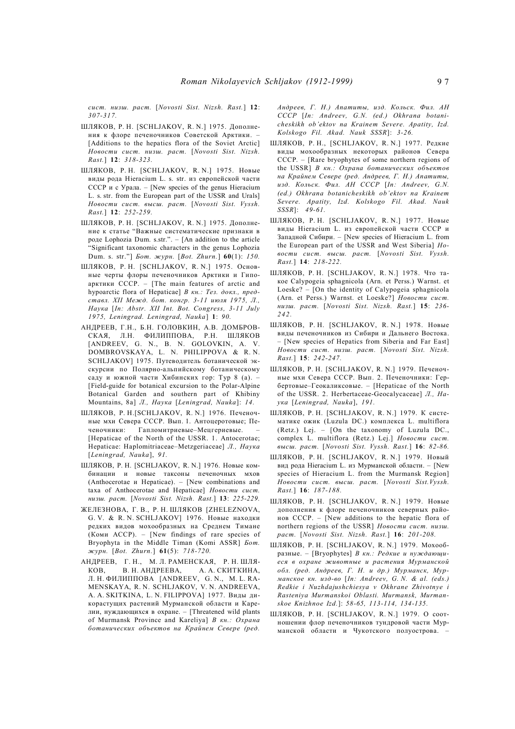*сист. низш. раст.* [*Novosti Sist. Nizsh. Rast.*] **12**: *307-317.*

- ШЛЯКОВ, Р. Н. [SCHLJAKOV, R. N.] 1975. Дополнения к флоре печеночников Советской Арктики. – [Additions to the hepatics flora of the Soviet Arctic] *Новости сист. низш. раст.* [*Novosti Sist. Nizsh. Rast.*] **12**: *318-323.*
- ШЛЯКОВ, Р. Н. [SCHLJAKOV, R. N.] 1975. Новые виды рода Hieracium L. s. str. из европейской части СССР и с Урала. – [New species of the genus Hieracium L. s. str. from the European part of the USSR and Urals] *Новости сист. высш. раст.* [*Novosti Sist. Vyssh. Rast.*] **12**: *252-259.*
- ШЛЯКОВ, Р. Н. [SCHLJAKOV, R. N.] 1975. Дополнение к статье "Важные систематические признаки в роде Lophozia Dum. s.str.". – [An addition to the article "Significant taxonomic characters in the genus Lophozia Dum. s. str."] *Бот. журн.* [*Bot. Zhurn.*] **60**(1): *150.*
- ШЛЯКОВ, Р. Н. [SCHLJAKOV, R. N.] 1975. Основные черты флоры печеночников Арктики и Гипоарктики СССР. – [The main features of arctic and hypoarctic flora of Hepaticae] *В кн.: Тез. докл., представл. XII Межд. бот. конгр. 3-11 июля 1975, Л., Наука* [*In: Abstr. XII Int. Bot. Congress, 3-11 July 1975, Leningrad. Leningrad, Nauka*] **1**: *90.*
- АНДРЕЕВ, Г.Н., Б.Н. ГОЛОВКИН, А.В. ДОМБРОВ-СКАЯ, Л.Н. ФИЛИППОВА, Р.Н. ШЛЯКОВ [ANDREEV, G. N., B. N. GOLOVKIN, A. V. DOMBROVSKAYA, L. N. PHILIPPOVA & R. N. SCHLJAKOV] 1975. Путеводитель ботанической экскурсии по Полярно-альпийскому ботаническому саду и южной части Хибинских гор: Тур 8 (а). – [Field-guide for botanical excursion to the Polar-Alpine Botanical Garden and southern part of Khibiny Mountains, 8a] *Л., Наука* [*Leningrad, Nauka*]: *14.*
- ШЛЯКОВ, Р. Н.[SCHLJAKOV, R. N.] 1976. Печеночные мхи Севера СССР. Вып. 1. Антоцеротовые; Печеночники: Гапломитриевые–Мецгериевые. – [Hepaticae of the North of the USSR. 1. Antocerotae; Hepaticae: Haplomitriaceae–Metzgeriaceae] *Л., Наука* [*Leningrad, Nauka*], *91.*
- ШЛЯКОВ, Р. Н. [SCHLJAKOV, R. N.] 1976. Новые комбинации и новые таксоны печеночных мхов (Anthocerotae и Hepaticae). – [New combinations and taxa of Anthocerotae and Hepaticae] *Новости сист. низш. раст.* [*Novosti Sist. Nizsh. Rast.*] **13**: *225-229.*
- ЖЕЛЕЗНОВА, Г. В., Р. Н. ШЛЯКОВ [ZHELEZNOVA, G. V. & R. N. SCHLJAKOV] 1976. Новые находки редких видов мохообразных на Среднем Тимане (Коми АССР). – [New findings of rare species of Bryophyta in the Middle Timan (Komi ASSR] *Бот. журн.* [*Bot. Zhurn.*] **61**(5): *718-720.*
- АНДРЕЕВ, Г. Н., М. Л. РАМЕНСКАЯ, Р. Н. ШЛЯ-КОВ, В. Н. АНДРЕЕВА, А. А. СКИТКИНА, Л. Н. ФИЛИППОВА [ANDREEV, G. N., M. L. RA-MENSKAYA, R. N. SCHLJAKOV, V. N. ANDREEVA, A. A. SKITKINA, L. N. FILIPPOVA] 1977. Виды дикорастущих растений Мурманской области и Карелии, нуждающихся в охране. – [Threatened wild plants of Murmansk Province and Kareliya] *В кн.: Охрана ботанических объектов на Крайнем Севере (ред.*

*Андреев, Г. Н.) Апатиты, изд. Кольск. Фил. АН СССР* [*In: Andreev, G.N. (ed.) Okhrana botanicheskikh ob'ektov na Krainem Severe. Apatity, Izd. Kolskogo Fil. Akad. Nauk SSSR*]: *3-26.*

- ШЛЯКОВ, Р. Н., [SCHLJAKOV, R. N.] 1977. Редкие виды мохообразных некоторых районов Севера СССР. – [Rare bryophytes of some northern regions of the USSR] *В кн.: Охрана ботанических объектов на Крайнем Севере (ред. Андреев, Г. Н.) Апатиты, изд. Кольск. Фил. АН СССР* [*In: Andreev, G.N. (ed.) Okhrana botanicheskikh ob'ektov na Krainem Severe. Apatity, Izd. Kolskogo Fil. Akad. Nauk SSSR*]: *49-61.*
- ШЛЯКОВ, Р. Н. [SCHLJAKOV, R. N.] 1977. Новые виды Hieracium L. из европейской части СССР и Западной Сибири. – [New species of Hieracium L. from the European part of the USSR and West Siberia] *Новости сист. высш. раст.* [*Novosti Sist. Vyssh. Rast.*] **14**: *218-222.*
- ШЛЯКОВ, Р. Н. [SCHLJAKOV, R. N.] 1978. Что такое Calypogeia sphagnicola (Arn. et Perss.) Warnst. et Loeske? – [On the identity of Calypogeia sphagnicola (Arn. et Perss.) Warnst. et Loeske?] *Новости сист. низш. раст.* [*Novosti Sist. Nizsh. Rast.*] **15**: *236- 24 2.*
- ШЛЯКОВ, Р. Н. [SCHLJAKOV, R. N.] 1978. Новые виды печеночников из Сибири и Дальнего Востока. – [New species of Hepatics from Siberia and Far East] *Новости сист. низш. раст.* [*Novosti Sist. Nizsh. Rast.*] **15**: *242-247.*
- ШЛЯКОВ, Р. Н. [SCHLJAKOV, R. N.] 1979. Печеночные мхи Севера СССР. Вып. 2. Печеночники: Гербертовые–Геокаликсовые. – [Hepaticae of the North of the USSR. 2. Herbertaceae-Geocalycaceae] *Л., Наука* [*Leningrad, Nauka*], *191.*
- ШЛЯКОВ, Р. Н. [SCHLJAKOV, R. N.] 1979. К систематике ожик (Luzula DC.) комплекса L. multiflora (Retz.) Lej. – [On the taxonomy of Luzula DC., complex L. multiflora (Retz.) Lej.] *Новости сист. высш. раст.* [*Novosti Sist. Vyssh. Rast.*] **16**: *82-86.*
- ШЛЯКОВ, Р. Н. [SCHLJAKOV, R. N.] 1979. Новый вид рода Hieracium L. из Мурманской области. – [New species of Hieracium L. from the Murmansk Region] *Новости сист. высш. раст.* [*Novosti Sist.Vyssh. Rast.*] **16**: *187-188.*
- ШЛЯКОВ, Р. Н. [SCHLJAKOV, R. N.] 1979. Новые дополнения к флоре печеночников северных районов СССР. – [New additions to the hepatic flora of northern regions of the USSR] *Новости сист. низш. раст.* [*Novosti Sist. Nizsh. Rast.*] **16**: *201-208.*
- ШЛЯКОВ, Р. Н. [SCHLJAKOV, R. N.] 1979. Мохообразные. – [Bryophytes] *В кн.: Редкие и нуждающиеся в охране животные и растения Мурманской обл. (ред. Андреев, Г. Н. и др.) Мурманск, Мурманское кн. изд-во* [*In: Andreev, G. N. & al. (eds.) Redkie i Nuzhdajushchiesya v Okhrane Zhivotnye i Rasteniya Murmanskoi Oblasti. Murmansk, Murmanskoe Knizhnoe Izd.*]: *58-65, 113-114, 134-135.*
- ШЛЯКОВ, Р. Н. [SCHLJAKOV, R. N.] 1979. О соотношении флор печеночников тундровой части Мурманской области и Чукотского полуострова.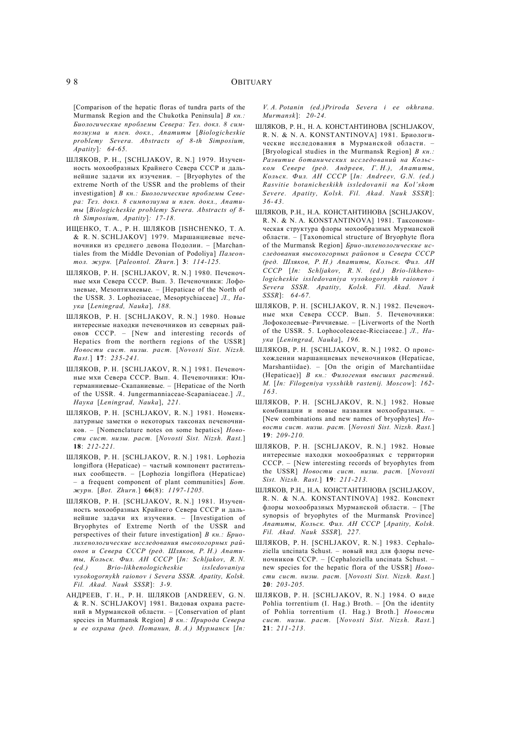[Comparison of the hepatic floras of tundra parts of the Murmansk Region and the Chukotka Peninsula] *В кн.: Биологические проблемы Севера: Тез. докл. 8 симпозиума и плен. докл., Апатиты* [*Biologicheskie problemy Severa. Abstracts of 8-th Simposium, Apatity*]*: 64-65.*

- ШЛЯКОВ, Р. Н., [SCHLJAKOV, R. N.] 1979. Изученность мохообразных Крайнего Севера СССР и дальнейшие задачи их изучения. – [Bryophytes of the extreme North of the USSR and the problems of their investigation] *В кн.: Биологические проблемы Севера: Тез. докл. 8 симпозиума и плен. докл., Апатиты* [*Biologicheskie problemy Severa. Abstracts of 8 th Simposium, Apatity*]*: 17-18.*
- ИЩЕНКО, Т. А., Р. Н. ШЛЯКОВ [ISHСHENKO, T. A. & R. N. SCHLJAKOV] 1979. Маршанциевые печеночники из среднего девона Подолии. – [Marchantiales from the Middle Devonian of Podoliya] *Палеонтол. журн.* [*Paleontol. Zhurn.*] **3**: *114-125.*
- ШЛЯКОВ, Р. Н. [SCHLJAKOV, R. N.] 1980. Печеночные мхи Севера СССР. Вып. 3. Печеночники: Лофозиевые, Мезоптихиевые. – [Hepaticae of the North of the USSR. 3. Lophoziaceae, Mesoptychiaceae] *Л., Наука* [*Leningrad, Nauka*]*, 188.*
- ШЛЯКОВ, Р. Н. [SCHLJAKOV, R. N.] 1980. Новые интересные находки печеночников из северных районов СССР. – [New and interesting records of Hepatics from the northern regions of the USSR] *Новости сист. низш. раст.* [*Novosti Sist. Nizsh. Rast.*] **17**: *235-241.*
- ШЛЯКОВ, Р. Н. [SCHLJAKOV, R. N.] 1981. Печеночные мхи Севера СССР. Вып. 4. Печеночники: Юнгерманниевые–Скапаниевые. – [Hepaticae of the North of the USSR. 4. Jungermanniaceae-Scapaniaceae.] *Л., Наука* [*Leningrad, Nauka*], *221.*
- ШЛЯКОВ, Р. Н. [SCHLJAKOV, R. N.] 1981. Номенклатурные заметки о некоторых таксонах печеночников. – [Nomenclature notes on some hepatics] *Новости сист. низш. раст.* [*Novosti Sist. Nizsh. Rast.*] **18**: *212-221.*
- ШЛЯКОВ, Р. Н. [SCHLJAKOV, R. N.] 1981. Lophozia longiflora (Hepaticae) – частый компонент растительных сообществ. – [Lophozia longiflora (Hepaticae) – a frequent component of plant communities] *Бот. журн.* [*Bot. Zhurn.*] **66**(8): *1197-1205.*
- ШЛЯКОВ, Р. Н. [SCHLJAKOV, R. N.] 1981. Изученность мохообразных Крайнего Севера СССР и дальнейшие задачи их изучения. – [Investigation of Bryophytes of Extreme North of the USSR and perspectives of their future investigation] *В кн.: Бриолихенологические исследования высокогорных районов и Севера СССР (ред. Шляков, Р. Н.) Апатиты, Кольск. Фил. АН СССР* [*In: Schljakov, R. N. (ed.) Brio-likhenologicheskie issledovaniya vysokogornykh raionov i Severa SSSR. Apatity, Kolsk. Fil. Akad. Nauk SSSR*]: *3-9.*
- АНДРЕЕВ, Г. Н., Р. Н. ШЛЯКОВ [ANDREEV, G. N. & R. N. SCHLJAKOV] 1981. Видовая охрана растений в Мурманской области. – [Conservation of plant species in Murmansk Region] *В кн.: Природа Севера и ее охрана (ред. Потанин, В. А.) Мурманск* [*In:*

*V. A. Potanin (ed.)Priroda Severa i ee okhrana. Murmansk*]: *20-24.*

- ШЛЯКОВ, Р. Н., Н. А. КОНСТАНТИНОВА [SCHLJAKOV, R. N. & N. A. KONSTANTINOVA] 1981. Бриологические исследования в Мурманской области. – [Bryological studies in the Murmansk Region] *В кн.: Развитие ботанических исследований на Кольском Севере (ред. Андреев, Г. Н.), Апатиты, Кольск. Фил. АН СССР* [*In: Andreev, G.N. (ed.) Rasvitie botanicheskikh issledovanii na Kol'skom Severe. Apatity, Kolsk. Fil. Akad. Nauk SSSR*]: *36-43.*
- ШЛЯКОВ, Р.Н., Н.А. КОНСТАНТИНОВА [SCHLJAKOV, R. N. & N. A. KONSTANTINOVA] 1981. Таксономическая структура флоры мохообразных Мурманской области. – [Taxonomical structure of Bryophyte flora of the Murmansk Region] *Брио-лихенологические исследования высокогорных районов и Севера СССР (ред. Шляков, Р. Н.) Апатиты, Кольск. Фил. АН СССР* [*In: Schljakov, R. N. (ed.) Brio-likhenologicheskie issledovaniya vysokogornykh raionov i Severa SSSR. Apatity, Kolsk. Fil. Akad. Nauk SSSR*]: *64-67.*
- ШЛЯКОВ, Р. Н. [SCHLJAKOV, R. N.] 1982. Печеночные мхи Севера СССР. Вып. 5. Печеночники: Лофоколeевые–Риччиевые. – [Liverworts of the North of the USSR. 5. Lophocoleaceae-Ricciaceae.] *Л., Наука* [*Leningrad, Nauka*], *196.*
- ШЛЯКОВ, Р. Н. [SCHLJAKOV, R. N.] 1982. О происхождении маршанциевых печеночников (Hepaticae, Marshantiidae). – [On the origin of Marchantiidae (Hepaticae)] *В кн.: Филогения высших растений. М.* [*In: Filogeniya vysshikh rastenij. Moscow*]: *162- 16 3*.
- ШЛЯКОВ, Р. Н. [SCHLJAKOV, R. N.] 1982. Новые комбинации и новые названия мохообразных. – [New combinations and new names of bryophytes] *Новости сист. низш. раст.* [*Novosti Sist. Nizsh. Rast.*] **19**: *209-210.*
- ШЛЯКОВ, Р. Н. [SCHLJAKOV, R. N.] 1982. Новые интересные находки мохообразных с территории СССР. – [New interesting records of bryophytes from the USSR] *Новости сист. низш. раст.* [*Novosti Sist. Nizsh. Rast.*] **19**: *211-213.*
- ШЛЯКОВ, Р.Н., Н.А. КОНСТАНТИНОВА [SCHLJAKOV, R. N. & N.A. KONSTANTINOVA] 1982. Конспект флоры мохообразных Мурманской области. – [The synopsis of bryophytes of the Murmansk Province] *Апатиты, Кольск. Фил. АН СССР* [*Apatity, Kolsk. Fil. Akad. Nauk SSSR*]*, 227.*
- ШЛЯКОВ, Р. Н. [SCHLJAKOV, R. N.] 1983. Cephaloziella uncinata Schust. – новый вид для флоры печеночников СССР. – [Cephaloziella uncinata Schust. – new species for the hepatic flora of the USSR] *Новости сист. низш. раст.* [*Novosti Sist. Nizsh. Rast.*] **20**: *203-205.*
- ШЛЯКОВ, Р. Н. [SCHLJAKOV, R. N.] 1984. О виде Pohlia torrentium (I. Hag.) Broth. – [On the identity of Pohlia torrentium (I. Hag.) Broth.] *Новости сист. низш. раст.* [*Novosti Sist. Nizsh. Rast.*] **21**: *211-213.*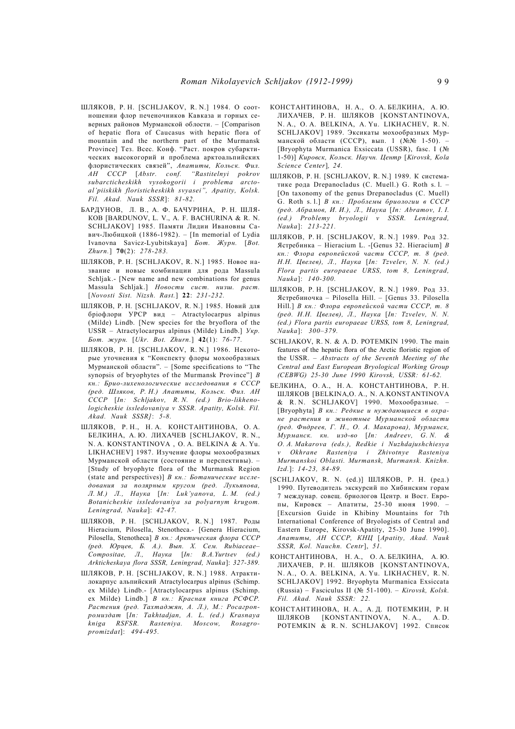- ШЛЯКОВ, Р. Н. [SCHLJAKOV, R. N.] 1984. О соотношении флор печеночников Кавказа и горных северных районов Мурманской облости. – [Comparison of hepatic flora of Caucasus with hepatic flora of mountain and the northern part of the Murmansk Province] Тез. Всес. Конф. "Раст. покров субарктических высокогорий и проблема арктоальпийских флористических связей", *Апатиты, Кольск. Фил. АН СССР* [*Abstr. conf. "Rastitelnyi pokrov subarcticheskikh vysokogorii i problema arctoal'piiskikh floristicheskikh svyasei", Apatity, Kolsk. Fil. Akad. Nauk SSSR*]: *81-82.*
- БАРДУНОВ, Л. В., А. Ф. БАЧУРИНА, Р. Н. ШЛЯ-КОВ [BARDUNOV, L. V., A. F. BACHURINA & R. N. SCHLJAKOV] 1985. Памяти Лидии Ивановны Савич-Любицкой (1886-1982). – [In memorial of Lydia Ivanovna Savicz-Lyubitskaya] *Бот. Журн.* [*Bot. Zhurn.*] **70**(2): *278-283.*
- ШЛЯКОВ, Р. Н. [SCHLJAKOV, R. N.] 1985. Новое название и новые комбинации для рода Massula Schljak.- [New name and new combinations for genus Massula Schljak.] *Новости сист. низш. раст.* [*Novosti Sist. Nizsh. Rast.*] **22**: *231-232.*
- ШЛЯКОВ, Р. Н. [SCHLJAKOV, R. N.] 1985. Новий для брiофлори УРСР вид – Atractylocarpus alpinus (Milde) Lindb. [New species for the bryoflora of the USSR – Atractylocarpus alpinus (Milde) Lindb.] *Укр. Бот. журн.* [*Ukr. Bot. Zhurn.*] **42**(1): *76-77.*
- ШЛЯКОВ, Р. Н. [SCHLJAKOV, R. N.] 1986. Некоторые уточнения к "Конспекту флоры мохообразных Мурманской области". – [Some specifications to "The synopsis of bryophytes of the Murmansk Province"] *В кн.: Брио-лихенологические исследования в СССР (ред. Шляков, Р. Н.) Апатиты, Кольск. Фил. АН СССР* [*In: Schljakov, R. N. (ed.) Brio-likhenologicheskie issledovaniya v SSSR. Apatity, Kolsk. Fil. Akad. Nauk SSSR]*: *5-8.*
- ШЛЯКОВ, Р. Н., Н. А. КОНСТАНТИНОВА, О. А. БЕЛКИНА, А. Ю. ЛИХАЧЕВ [SCHLJAKOV, R. N., N. A. KONSTANTINOVA , O. A. BELKINA & A. Yu. LIKHACHEV] 1987. Изучение флоры мохообразных Мурманской области (состояние и перспективы). – [Study of bryophyte flora of the Murmansk Region (state and perspectives)] *В кн.: Ботанические исследования за полярным кругом (ред. Лукьянова, Л. М.) Л., Наука* [*In: Luk'yanova, L. M. (ed.) Botanicheskie issledovaniya sa polyarnym krugom. Leningrad, Nauka*]: *42-47.*
- ШЛЯКОВ, Р. Н. [SCHLJAKOV, R. N.] 1987. Роды Hieracium, Pilosella, Stenotheca.- [Genera Hieracium, Pilosella, Stenotheca] *В кн.: Арктическая флора СССР (ред. Юрцев, Б. А.). Вып. X. Сем. Rubiaceae– Compositae, Л., Наука* [*In: B.A.Yurtsev (ed.) Arkticheskaya flora SSSR, Leningrad, Nauka*]: *327-389.*
- ШЛЯКОВ, Р. Н. [SCHLJAKOV, R. N.] 1988. Атрактилокарпус альпийский Atractylocarpus alpinus (Schimp. ex Milde) Lindb.- [Atractylocarpus alpinus (Schimp. ex Milde) Lindb.] *В кн.: Красная книга РСФСР. Растения (ред. Тахтаджян, А. Л.), М.: Росагропромиздат* [*In: Takhtadjan, A. L. (ed.) Krasnaya kniga RSFSR. Rasteniya. Moscow, Rosagropromizdat*]: *494-495.*
- КОНСТАНТИНОВА, Н. А., О. А. БЕЛКИНА, А. Ю. ЛИХАЧЕВ, Р. Н. ШЛЯКОВ [KONSTANTINOVA, N. A., O. A. BELKINA, A. Yu. LIKHACHEV, R. N. SCHLJAKOV] 1989. Эксикаты мохообразных Мурманской области (СССР), вып. 1 (№№ 1-50). [Bryophyta Murmanica Exsiccata (USSR), fasc. I (№ 1-50)] *Кировск, Кольск. Научн. Центр* [*Kirovsk, Kola Science Center*]*, 24.*
- ШЛЯКОВ, Р. Н. [SCHLJAKOV, R. N.] 1989. К систематике рода Drepanocladus (C. Muell.) G. Roth s. l. – [On taxonomy of the genus Drepanocladus (C. Muell) G. Roth s. l.] *В кн.: Проблемы бриологии в СССР (ред. Абрамов, И. И.), Л., Наука* [*In: Abramov, I. I. (ed.) Problemy bryologii v SSSR. Leningrad, Nauka*]: *213-221.*
- ШЛЯКОВ, Р. Н. [SCHLJAKOV, R. N.] 1989. Род 32. Ястребинка – Hieracium L. -[Genus 32. Hieracium] *В кн.: Флора европейской части СССР, т. 8 (ред. Н.Н. Цвелев), Л., Наука* [*In: Tzvelev, N. N. (ed.) Flora partis europaeae URSS, tom 8, Leningrad, Nauka*]: *140-300.*
- ШЛЯКОВ, Р. Н. [SCHLJAKOV, R. N.] 1989. Род 33. Ястребиночка – Pilosella Hill. – [Genus 33. Pilosella Hill.] *В кн.: Флора европейской части СССР, т. 8 (ред. Н.Н. Цвелев), Л., Наука* [*In: Tzvelev, N. N. (ed.) Flora partis europaeae URSS, tom 8, Leningrad, Nauka*]: *300–379.*
- SCHLJAKOV, R. N. & A. D. POTEMKIN 1990. The main features of the hepatic flora of the Arctic floristic region of the USSR. – *Abstracts of the Seventh Meeting of the Central and East European Bryological Working Group (CEBWG) 25-30 June 1990 Kirovsk, USSR: 61-62.*
- БЕЛКИНА, О. А., Н. А. КОНСТАНТИНОВА, Р. Н. ШЛЯКОВ [BELKINA,O. A., N. A.KONSTANTINOVA & R. N. SCHLJAKOV] 1990. Мохообразные. – [Bryophyta] *В кн.: Редкие и нуждающиеся в охране растения и животные Мурманской области (ред. Фндреев, Г. Н., О. А. Макарова), Мурманск, Мурманск. кн. изд-во* [*In: Andreev, G. N. & O. A. Makarova (eds.), Redkie i Nuzhdajushchiesya v Okhrane Rasteniya i Zhivotnye Rasteniya Murmanskoi Oblasti. Murmansk, Murmansk. Knizhn. Izd.*]: *14-23, 84-89.*
- $[SCHLJAKOV, R, N. (ed.)]$  ШЛЯКОВ, Р. Н. (ред.) 1990. Путеводитель экскурсий по Хибинским горам 7 междунар. совещ. бриологов Центр. и Вост. Европы, Кировск – Апатиты, 25-30 июня 1990. – [Excursion Guide in Khibiny Mountains for 7th International Conference of Bryologists of Central and Eastern Europe, Kirovsk-Apatity, 25-30 June 1990]. *Апатиты, АН СССР, КНЦ* [*Apatity, Akad. Nauk SSSR, Kol. Nauchn. Centr*], *51.*
- КОНСТАНТИНОВА, Н. А., О. А. БЕЛКИНА, А. Ю. ЛИХАЧЕВ, Р. Н. ШЛЯКОВ [KONSTANTINOVA, N. A., O. A. BELKINA, A. Yu. LIKHACHEV, R. N. SCHLJAKOV] 1992. Bryophyta Murmanica Exsiccata (Russia) – Fasciculus II (№ 51-100). – *Kirovsk, Kolsk. Fil. Akad. Nauk SSSR: 22.*
- КОНСТАНТИНОВА, Н. А., А. Д. ПОТЕМКИН, Р. Н ШЛЯКОВ [KONSTANTINOVA, N. A., A. D. POTEMKIN & R. N. SCHLJAKOV] 1992. Список